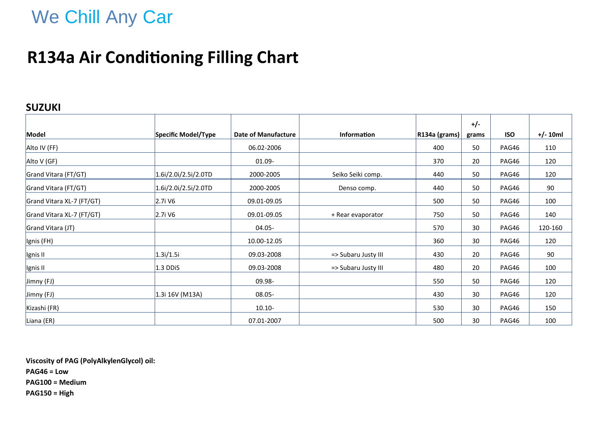# We Chill Any Car

### **R134a Air Conditioning Filling Chart**

#### **SUZUKI**

|                           |                         |                            |                     |               | $+/-$ |            |            |
|---------------------------|-------------------------|----------------------------|---------------------|---------------|-------|------------|------------|
| Model                     | Specific Model/Type     | <b>Date of Manufacture</b> | <b>Information</b>  | R134a (grams) | grams | <b>ISO</b> | $+/- 10ml$ |
| Alto IV (FF)              |                         | 06.02-2006                 |                     | 400           | 50    | PAG46      | 110        |
| Alto V (GF)               |                         | 01.09-                     |                     | 370           | 20    | PAG46      | 120        |
| Grand Vitara (FT/GT)      | $1.6$ i/2.0i/2.5i/2.0TD | 2000-2005                  | Seiko Seiki comp.   | 440           | 50    | PAG46      | 120        |
| Grand Vitara (FT/GT)      | $1.6$ i/2.0i/2.5i/2.0TD | 2000-2005                  | Denso comp.         | 440           | 50    | PAG46      | 90         |
| Grand Vitara XL-7 (FT/GT) | 2.7i V6                 | 09.01-09.05                |                     | 500           | 50    | PAG46      | 100        |
| Grand Vitara XL-7 (FT/GT) | 2.7i V6                 | 09.01-09.05                | + Rear evaporator   | 750           | 50    | PAG46      | 140        |
| Grand Vitara (JT)         |                         | 04.05-                     |                     | 570           | 30    | PAG46      | 120-160    |
| Ignis (FH)                |                         | 10.00-12.05                |                     | 360           | 30    | PAG46      | 120        |
| Ignis II                  | 1.3i/1.5i               | 09.03-2008                 | => Subaru Justy III | 430           | 20    | PAG46      | 90         |
| Ignis II                  | $1.3$ DDiS              | 09.03-2008                 | => Subaru Justy III | 480           | 20    | PAG46      | 100        |
| Jimny (FJ)                |                         | 09.98-                     |                     | 550           | 50    | PAG46      | 120        |
| Jimny (FJ)                | 1.3i 16V (M13A)         | $08.05 -$                  |                     | 430           | 30    | PAG46      | 120        |
| Kizashi (FR)              |                         | $10.10 -$                  |                     | 530           | 30    | PAG46      | 150        |
| Liana (ER)                |                         | 07.01-2007                 |                     | 500           | 30    | PAG46      | 100        |

**Viscosity of PAG (PolyAlkylenGlycol) oil: PAG46 = Low PAG100 = Medium PAG150 = High**